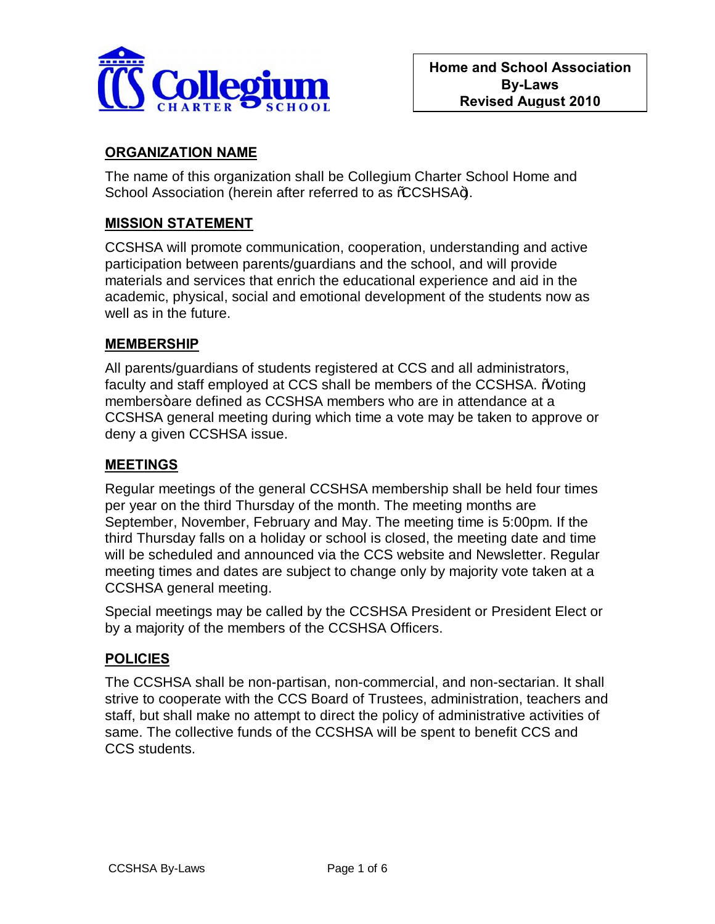

# **ORGANIZATION NAME**

The name of this organization shall be Collegium Charter School Home and School Association (herein after referred to as %CCSHSA+).

### **MISSION STATEMENT**

CCSHSA will promote communication, cooperation, understanding and active participation between parents/guardians and the school, and will provide materials and services that enrich the educational experience and aid in the academic, physical, social and emotional development of the students now as well as in the future.

#### **MEMBERSHIP**

All parents/guardians of students registered at CCS and all administrators, faculty and staff employed at CCS shall be members of the CCSHSA. % Moting members+are defined as CCSHSA members who are in attendance at a CCSHSA general meeting during which time a vote may be taken to approve or deny a given CCSHSA issue.

#### **MEETINGS**

Regular meetings of the general CCSHSA membership shall be held four times per year on the third Thursday of the month. The meeting months are September, November, February and May. The meeting time is 5:00pm. If the third Thursday falls on a holiday or school is closed, the meeting date and time will be scheduled and announced via the CCS website and Newsletter. Regular meeting times and dates are subject to change only by majority vote taken at a CCSHSA general meeting.

Special meetings may be called by the CCSHSA President or President Elect or by a majority of the members of the CCSHSA Officers.

#### **POLICIES**

The CCSHSA shall be non-partisan, non-commercial, and non-sectarian. It shall strive to cooperate with the CCS Board of Trustees, administration, teachers and staff, but shall make no attempt to direct the policy of administrative activities of same. The collective funds of the CCSHSA will be spent to benefit CCS and CCS students.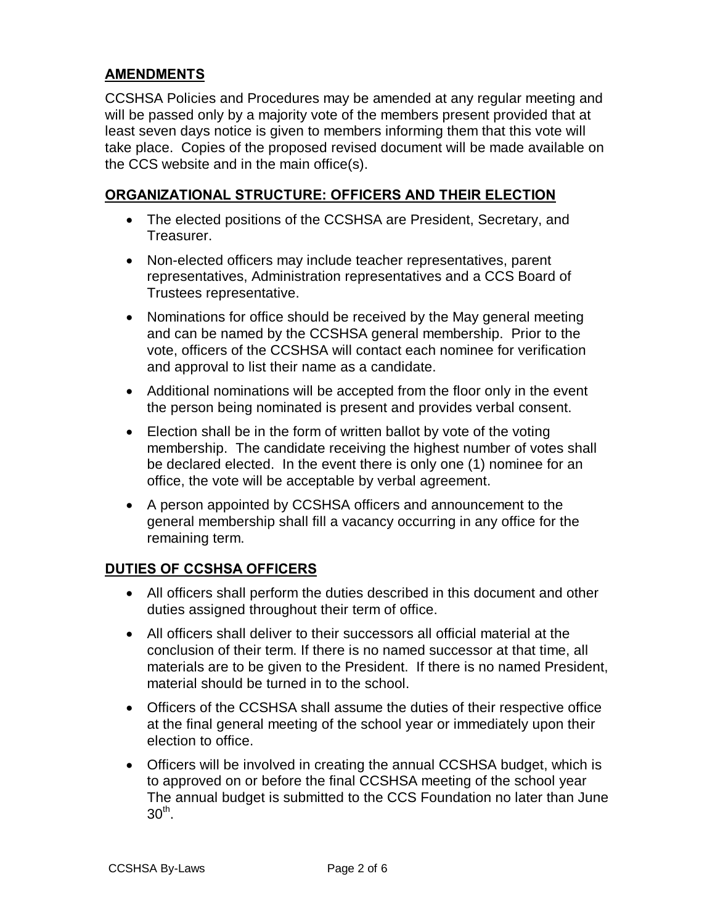### **AMENDMENTS**

CCSHSA Policies and Procedures may be amended at any regular meeting and will be passed only by a majority vote of the members present provided that at least seven days notice is given to members informing them that this vote will take place. Copies of the proposed revised document will be made available on the CCS website and in the main office(s).

### **ORGANIZATIONAL STRUCTURE: OFFICERS AND THEIR ELECTION**

- · The elected positions of the CCSHSA are President, Secretary, and Treasurer.
- · Non-elected officers may include teacher representatives, parent representatives, Administration representatives and a CCS Board of Trustees representative.
- · Nominations for office should be received by the May general meeting and can be named by the CCSHSA general membership. Prior to the vote, officers of the CCSHSA will contact each nominee for verification and approval to list their name as a candidate.
- · Additional nominations will be accepted from the floor only in the event the person being nominated is present and provides verbal consent.
- Election shall be in the form of written ballot by vote of the voting membership. The candidate receiving the highest number of votes shall be declared elected. In the event there is only one (1) nominee for an office, the vote will be acceptable by verbal agreement.
- · A person appointed by CCSHSA officers and announcement to the general membership shall fill a vacancy occurring in any office for the remaining term.

### **DUTIES OF CCSHSA OFFICERS**

- · All officers shall perform the duties described in this document and other duties assigned throughout their term of office.
- · All officers shall deliver to their successors all official material at the conclusion of their term. If there is no named successor at that time, all materials are to be given to the President. If there is no named President, material should be turned in to the school.
- · Officers of the CCSHSA shall assume the duties of their respective office at the final general meeting of the school year or immediately upon their election to office.
- · Officers will be involved in creating the annual CCSHSA budget, which is to approved on or before the final CCSHSA meeting of the school year The annual budget is submitted to the CCS Foundation no later than June  $30<sup>th</sup>$ .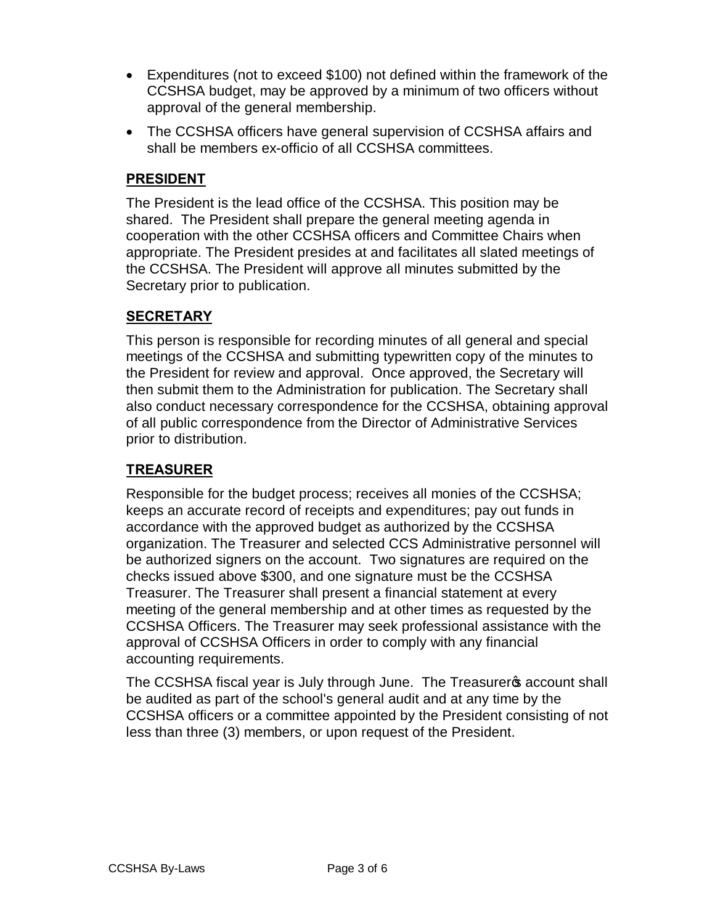- · Expenditures (not to exceed \$100) not defined within the framework of the CCSHSA budget, may be approved by a minimum of two officers without approval of the general membership.
- · The CCSHSA officers have general supervision of CCSHSA affairs and shall be members ex-officio of all CCSHSA committees.

### **PRESIDENT**

The President is the lead office of the CCSHSA. This position may be shared. The President shall prepare the general meeting agenda in cooperation with the other CCSHSA officers and Committee Chairs when appropriate. The President presides at and facilitates all slated meetings of the CCSHSA. The President will approve all minutes submitted by the Secretary prior to publication.

# **SECRETARY**

This person is responsible for recording minutes of all general and special meetings of the CCSHSA and submitting typewritten copy of the minutes to the President for review and approval. Once approved, the Secretary will then submit them to the Administration for publication. The Secretary shall also conduct necessary correspondence for the CCSHSA, obtaining approval of all public correspondence from the Director of Administrative Services prior to distribution.

# **TREASURER**

Responsible for the budget process; receives all monies of the CCSHSA; keeps an accurate record of receipts and expenditures; pay out funds in accordance with the approved budget as authorized by the CCSHSA organization. The Treasurer and selected CCS Administrative personnel will be authorized signers on the account. Two signatures are required on the checks issued above \$300, and one signature must be the CCSHSA Treasurer. The Treasurer shall present a financial statement at every meeting of the general membership and at other times as requested by the CCSHSA Officers. The Treasurer may seek professional assistance with the approval of CCSHSA Officers in order to comply with any financial accounting requirements.

The CCSHSA fiscal year is July through June. The Treasurer op account shall be audited as part of the school's general audit and at any time by the CCSHSA officers or a committee appointed by the President consisting of not less than three (3) members, or upon request of the President.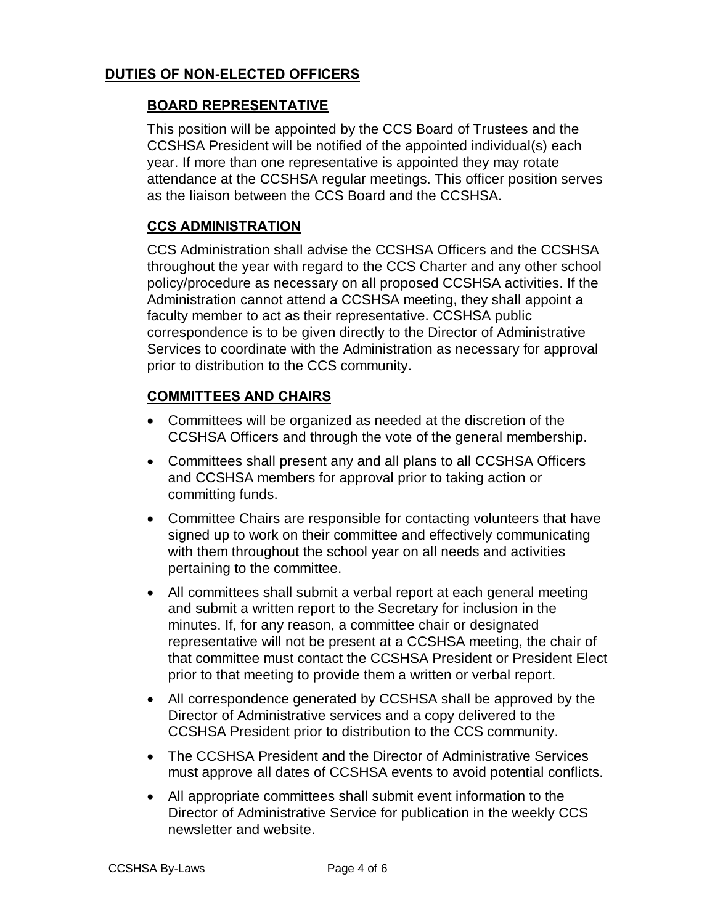### **DUTIES OF NON-ELECTED OFFICERS**

### **BOARD REPRESENTATIVE**

This position will be appointed by the CCS Board of Trustees and the CCSHSA President will be notified of the appointed individual(s) each year. If more than one representative is appointed they may rotate attendance at the CCSHSA regular meetings. This officer position serves as the liaison between the CCS Board and the CCSHSA.

### **CCS ADMINISTRATION**

CCS Administration shall advise the CCSHSA Officers and the CCSHSA throughout the year with regard to the CCS Charter and any other school policy/procedure as necessary on all proposed CCSHSA activities. If the Administration cannot attend a CCSHSA meeting, they shall appoint a faculty member to act as their representative. CCSHSA public correspondence is to be given directly to the Director of Administrative Services to coordinate with the Administration as necessary for approval prior to distribution to the CCS community.

### **COMMITTEES AND CHAIRS**

- · Committees will be organized as needed at the discretion of the CCSHSA Officers and through the vote of the general membership.
- · Committees shall present any and all plans to all CCSHSA Officers and CCSHSA members for approval prior to taking action or committing funds.
- · Committee Chairs are responsible for contacting volunteers that have signed up to work on their committee and effectively communicating with them throughout the school year on all needs and activities pertaining to the committee.
- · All committees shall submit a verbal report at each general meeting and submit a written report to the Secretary for inclusion in the minutes. If, for any reason, a committee chair or designated representative will not be present at a CCSHSA meeting, the chair of that committee must contact the CCSHSA President or President Elect prior to that meeting to provide them a written or verbal report.
- · All correspondence generated by CCSHSA shall be approved by the Director of Administrative services and a copy delivered to the CCSHSA President prior to distribution to the CCS community.
- · The CCSHSA President and the Director of Administrative Services must approve all dates of CCSHSA events to avoid potential conflicts.
- · All appropriate committees shall submit event information to the Director of Administrative Service for publication in the weekly CCS newsletter and website.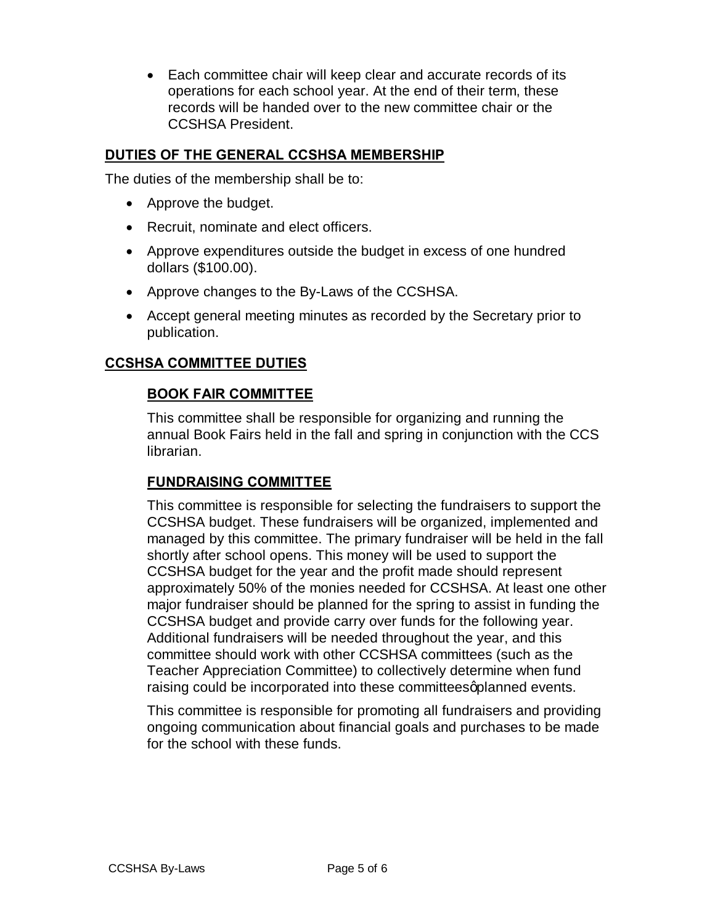· Each committee chair will keep clear and accurate records of its operations for each school year. At the end of their term, these records will be handed over to the new committee chair or the CCSHSA President.

### **DUTIES OF THE GENERAL CCSHSA MEMBERSHIP**

The duties of the membership shall be to:

- · Approve the budget.
- · Recruit, nominate and elect officers.
- · Approve expenditures outside the budget in excess of one hundred dollars (\$100.00).
- · Approve changes to the By-Laws of the CCSHSA.
- · Accept general meeting minutes as recorded by the Secretary prior to publication.

#### **CCSHSA COMMITTEE DUTIES**

### **BOOK FAIR COMMITTEE**

This committee shall be responsible for organizing and running the annual Book Fairs held in the fall and spring in conjunction with the CCS librarian.

#### **FUNDRAISING COMMITTEE**

This committee is responsible for selecting the fundraisers to support the CCSHSA budget. These fundraisers will be organized, implemented and managed by this committee. The primary fundraiser will be held in the fall shortly after school opens. This money will be used to support the CCSHSA budget for the year and the profit made should represent approximately 50% of the monies needed for CCSHSA. At least one other major fundraiser should be planned for the spring to assist in funding the CCSHSA budget and provide carry over funds for the following year. Additional fundraisers will be needed throughout the year, and this committee should work with other CCSHSA committees (such as the Teacher Appreciation Committee) to collectively determine when fund raising could be incorporated into these committees aplanned events.

This committee is responsible for promoting all fundraisers and providing ongoing communication about financial goals and purchases to be made for the school with these funds.